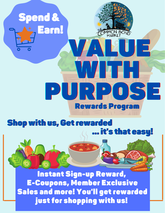

Instant Sign-up Reward, E-Coupons, Member Exclusive Sales and more! You'll get rewarded just for shopping with us!